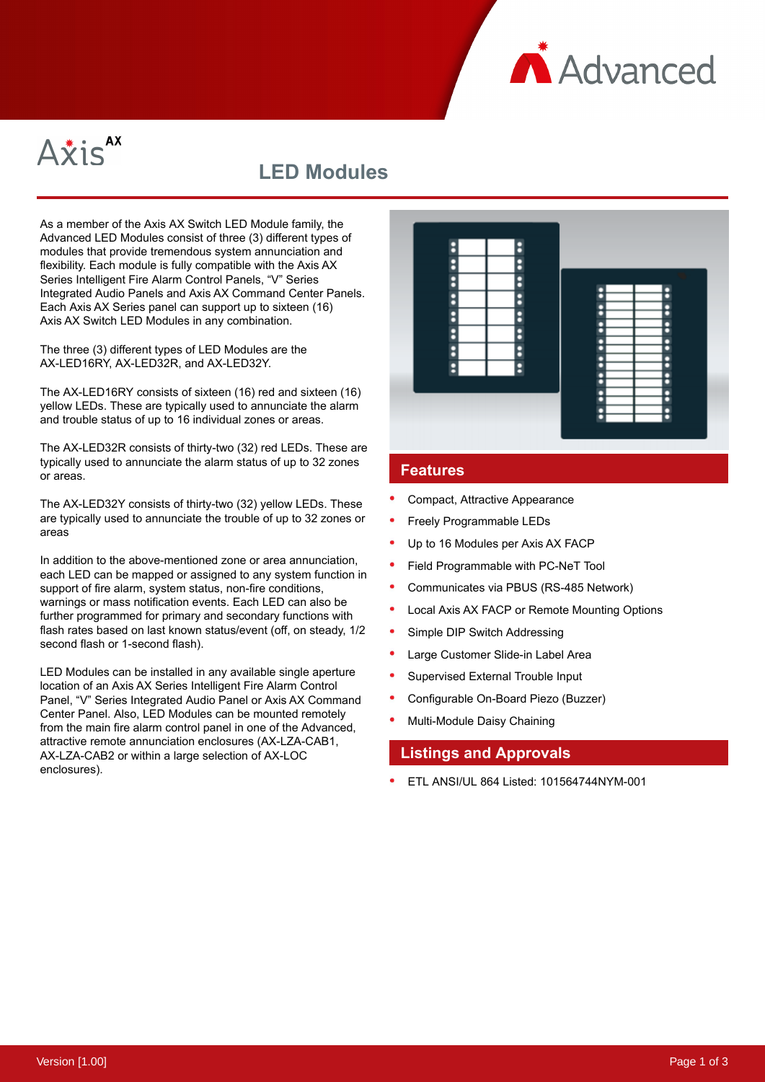**A** Advanced



# **LED Modules**

As a member of the Axis AX Switch LED Module family, the Advanced LED Modules consist of three (3) different types of modules that provide tremendous system annunciation and flexibility. Each module is fully compatible with the Axis AX Series Intelligent Fire Alarm Control Panels, "V" Series Integrated Audio Panels and Axis AX Command Center Panels. Each Axis AX Series panel can support up to sixteen (16) Axis AX Switch LED Modules in any combination.

The three (3) different types of LED Modules are the AX-LED16RY, AX-LED32R, and AX-LED32Y.

The AX-LED16RY consists of sixteen (16) red and sixteen (16) yellow LEDs. These are typically used to annunciate the alarm and trouble status of up to 16 individual zones or areas.

The AX-LED32R consists of thirty-two (32) red LEDs. These are typically used to annunciate the alarm status of up to 32 zones or areas.

The AX-LED32Y consists of thirty-two (32) yellow LEDs. These are typically used to annunciate the trouble of up to 32 zones or areas

In addition to the above-mentioned zone or area annunciation, each LED can be mapped or assigned to any system function in support of fire alarm, system status, non-fire conditions, warnings or mass notification events. Each LED can also be further programmed for primary and secondary functions with flash rates based on last known status/event (off, on steady, 1/2 second flash or 1-second flash).

LED Modules can be installed in any available single aperture location of an Axis AX Series Intelligent Fire Alarm Control Panel, "V" Series Integrated Audio Panel or Axis AX Command Center Panel. Also, LED Modules can be mounted remotely from the main fire alarm control panel in one of the Advanced, attractive remote annunciation enclosures (AX-LZA-CAB1, AX-LZA-CAB2 or within a large selection of AX-LOC enclosures).



#### **Features**

- Compact, Attractive Appearance
- Freely Programmable LEDs
- Up to 16 Modules per Axis AX FACP
- Field Programmable with PC-NeT Tool
- Communicates via PBUS (RS-485 Network)
- Local Axis AX FACP or Remote Mounting Options
- Simple DIP Switch Addressing
- Large Customer Slide-in Label Area
- Supervised External Trouble Input
- Configurable On-Board Piezo (Buzzer)
- Multi-Module Daisy Chaining

### **Listings and Approvals**

ETL ANSI/UL 864 Listed: 101564744NYM-001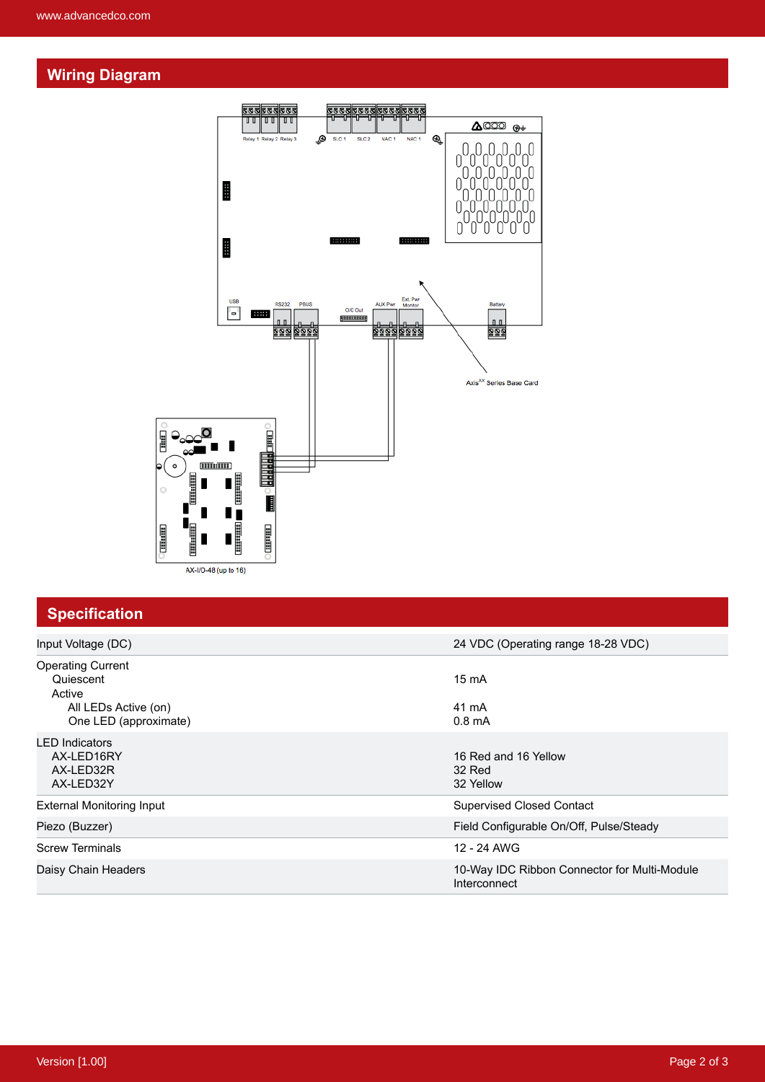#### **Wiring Diagram**



## **Specification**

| Input Voltage (DC)                                                                               | 24 VDC (Operating range 18-28 VDC)                           |
|--------------------------------------------------------------------------------------------------|--------------------------------------------------------------|
| <b>Operating Current</b><br>Quiescent<br>Active<br>All LEDs Active (on)<br>One LED (approximate) | $15 \text{ mA}$<br>41 mA<br>$0.8 \text{ mA}$                 |
| <b>LED Indicators</b><br>AX-LED16RY<br>AX-LED32R<br>AX-LED32Y                                    | 16 Red and 16 Yellow<br>32 Red<br>32 Yellow                  |
| <b>External Monitoring Input</b>                                                                 | <b>Supervised Closed Contact</b>                             |
| Piezo (Buzzer)                                                                                   | Field Configurable On/Off, Pulse/Steady                      |
| <b>Screw Terminals</b>                                                                           | 12 - 24 AWG                                                  |
| Daisy Chain Headers                                                                              | 10-Way IDC Ribbon Connector for Multi-Module<br>Interconnect |